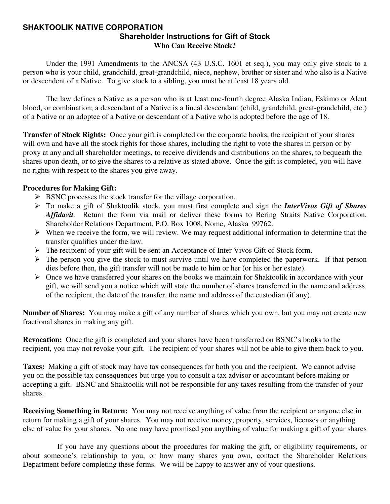#### **SHAKTOOLIK NATIVE CORPORATION Shareholder Instructions for Gift of Stock Who Can Receive Stock?**

Under the 1991 Amendments to the ANCSA (43 U.S.C. 1601 et seq.), you may only give stock to a person who is your child, grandchild, great-grandchild, niece, nephew, brother or sister and who also is a Native or descendent of a Native. To give stock to a sibling, you must be at least 18 years old.

 The law defines a Native as a person who is at least one-fourth degree Alaska Indian, Eskimo or Aleut blood, or combination; a descendant of a Native is a lineal descendant (child, grandchild, great-grandchild, etc.) of a Native or an adoptee of a Native or descendant of a Native who is adopted before the age of 18.

**Transfer of Stock Rights:** Once your gift is completed on the corporate books, the recipient of your shares will own and have all the stock rights for those shares, including the right to vote the shares in person or by proxy at any and all shareholder meetings, to receive dividends and distributions on the shares, to bequeath the shares upon death, or to give the shares to a relative as stated above. Once the gift is completed, you will have no rights with respect to the shares you give away.

#### **Procedures for Making Gift:**

- $\triangleright$  BSNC processes the stock transfer for the village corporation.
- ¾ To make a gift of Shaktoolik stock, you must first complete and sign the *InterVivos Gift of Shares Affidavit.* Return the form via mail or deliver these forms to Bering Straits Native Corporation, Shareholder Relations Department, P.O. Box 1008, Nome, Alaska 99762.
- $\triangleright$  When we receive the form, we will review. We may request additional information to determine that the transfer qualifies under the law.
- ¾ The recipient of your gift will be sent an Acceptance of Inter Vivos Gift of Stock form.
- $\triangleright$  The person you give the stock to must survive until we have completed the paperwork. If that person dies before then, the gift transfer will not be made to him or her (or his or her estate).
- $\triangleright$  Once we have transferred your shares on the books we maintain for Shaktoolik in accordance with your gift, we will send you a notice which will state the number of shares transferred in the name and address of the recipient, the date of the transfer, the name and address of the custodian (if any).

**Number of Shares:** You may make a gift of any number of shares which you own, but you may not create new fractional shares in making any gift.

**Revocation:** Once the gift is completed and your shares have been transferred on BSNC's books to the recipient, you may not revoke your gift. The recipient of your shares will not be able to give them back to you.

**Taxes:** Making a gift of stock may have tax consequences for both you and the recipient. We cannot advise you on the possible tax consequences but urge you to consult a tax advisor or accountant before making or accepting a gift. BSNC and Shaktoolik will not be responsible for any taxes resulting from the transfer of your shares.

**Receiving Something in Return:** You may not receive anything of value from the recipient or anyone else in return for making a gift of your shares. You may not receive money, property, services, licenses or anything else of value for your shares. No one may have promised you anything of value for making a gift of your shares

 If you have any questions about the procedures for making the gift, or eligibility requirements, or about someone's relationship to you, or how many shares you own, contact the Shareholder Relations Department before completing these forms. We will be happy to answer any of your questions.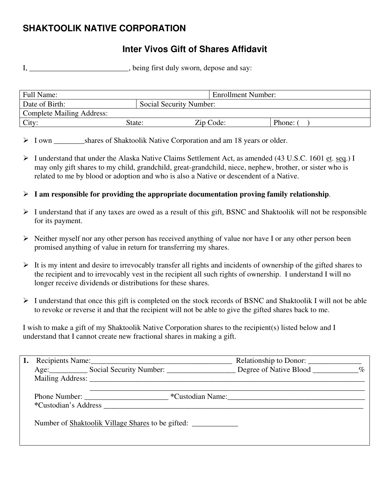# **SHAKTOOLIK NATIVE CORPORATION**

## **Inter Vivos Gift of Shares Affidavit**

I, \_\_\_\_\_\_\_\_\_\_\_\_\_\_\_\_\_\_\_\_\_\_, being first duly sworn, depose and say:

| Full Name:                       |                         | <b>Enrollment Number:</b> |        |
|----------------------------------|-------------------------|---------------------------|--------|
| Date of Birth:                   | Social Security Number: |                           |        |
| <b>Complete Mailing Address:</b> |                         |                           |        |
| City:                            | State:                  | Zip Code:                 | Phone: |

> I own shares of Shaktoolik Native Corporation and am 18 years or older.

- ¾ I understand that under the Alaska Native Claims Settlement Act, as amended (43 U.S.C. 1601 et. seq.) I may only gift shares to my child, grandchild, great-grandchild, niece, nephew, brother, or sister who is related to me by blood or adoption and who is also a Native or descendent of a Native.
- ¾ **I am responsible for providing the appropriate documentation proving family relationship**.
- $\triangleright$  I understand that if any taxes are owed as a result of this gift, BSNC and Shaktoolik will not be responsible for its payment.
- $\triangleright$  Neither myself nor any other person has received anything of value nor have I or any other person been promised anything of value in return for transferring my shares.
- $\triangleright$  It is my intent and desire to irrevocably transfer all rights and incidents of ownership of the gifted shares to the recipient and to irrevocably vest in the recipient all such rights of ownership. I understand I will no longer receive dividends or distributions for these shares.
- ¾ I understand that once this gift is completed on the stock records of BSNC and Shaktoolik I will not be able to revoke or reverse it and that the recipient will not be able to give the gifted shares back to me.

I wish to make a gift of my Shaktoolik Native Corporation shares to the recipient(s) listed below and I understand that I cannot create new fractional shares in making a gift.

|                      | Recipients Name:                                                                                                                                                                                                               |                  |  |
|----------------------|--------------------------------------------------------------------------------------------------------------------------------------------------------------------------------------------------------------------------------|------------------|--|
|                      | Age: Social Security Number: Degree of Native Blood _________ %                                                                                                                                                                |                  |  |
|                      | Mailing Address: No. 1996. The Second Second Second Second Second Second Second Second Second Second Second Second Second Second Second Second Second Second Second Second Second Second Second Second Second Second Second Se |                  |  |
| *Custodian's Address | Phone Number:                                                                                                                                                                                                                  | *Custodian Name: |  |
|                      | Number of Shaktoolik Village Shares to be gifted:                                                                                                                                                                              |                  |  |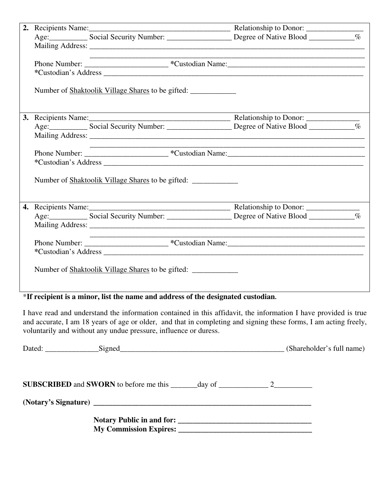|  | the control of the control of the control of the control of the control of        |  |
|--|-----------------------------------------------------------------------------------|--|
|  |                                                                                   |  |
|  |                                                                                   |  |
|  | Number of Shaktoolik Village Shares to be gifted:                                 |  |
|  |                                                                                   |  |
|  |                                                                                   |  |
|  |                                                                                   |  |
|  |                                                                                   |  |
|  |                                                                                   |  |
|  |                                                                                   |  |
|  | Number of Shaktoolik Village Shares to be gifted: _______________________________ |  |
|  |                                                                                   |  |
|  |                                                                                   |  |
|  |                                                                                   |  |
|  |                                                                                   |  |
|  |                                                                                   |  |
|  |                                                                                   |  |
|  | Number of Shaktoolik Village Shares to be gifted: _______________________________ |  |

\***If recipient is a minor, list the name and address of the designated custodian.** 

I have read and understand the information contained in this affidavit, the information I have provided is true and accurate, I am 18 years of age or older, and that in completing and signing these forms, I am acting freely, voluntarily and without any undue pressure, influence or duress.

| Dated: Signed Signed Signed Contains and the Signed Signed Signed Signed Contains a series of the Signed Signed Signed Signed Signed Signed Signed Signed Signed Signed Signed Signed Signed Signed Signed Signed Signed Signe |  | (Shareholder's full name) |
|--------------------------------------------------------------------------------------------------------------------------------------------------------------------------------------------------------------------------------|--|---------------------------|
| <b>SUBSCRIBED</b> and <b>SWORN</b> to before me this $\_\_\_\_\_day$ of $\_\_\_\_\_\_2$                                                                                                                                        |  |                           |
|                                                                                                                                                                                                                                |  |                           |
| My Commission Expires: 2008. The Commission Expires:                                                                                                                                                                           |  |                           |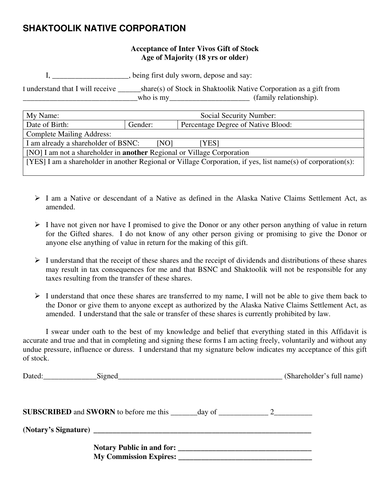### **SHAKTOOLIK NATIVE CORPORATION**

#### **Acceptance of Inter Vivos Gift of Stock Age of Majority (18 yrs or older)**

I, \_\_\_\_\_\_\_\_\_\_\_\_\_\_\_\_\_\_\_\_, being first duly sworn, depose and say:

I understand that I will receive \_\_\_\_\_\_share(s) of Stock in Shaktoolik Native Corporation as a gift from \_\_\_\_\_\_\_\_\_\_\_\_\_\_\_\_\_\_\_\_\_\_\_\_\_\_\_\_\_\_who is my\_\_\_\_\_\_\_\_\_\_\_\_\_\_\_\_\_\_\_\_\_ (family relationship).

| My Name:                                                                                                     | Social Security Number:                       |  |  |
|--------------------------------------------------------------------------------------------------------------|-----------------------------------------------|--|--|
| Date of Birth:                                                                                               | Percentage Degree of Native Blood:<br>Gender: |  |  |
| <b>Complete Mailing Address:</b>                                                                             |                                               |  |  |
| I am already a shareholder of BSNC:<br>[NO]<br>[YES]                                                         |                                               |  |  |
| [NO] I am not a shareholder in <b>another</b> Regional or Village Corporation                                |                                               |  |  |
| [YES] I am a shareholder in another Regional or Village Corporation, if yes, list name(s) of corporation(s): |                                               |  |  |
|                                                                                                              |                                               |  |  |

- $\triangleright$  I am a Native or descendant of a Native as defined in the Alaska Native Claims Settlement Act, as amended.
- $\triangleright$  I have not given nor have I promised to give the Donor or any other person anything of value in return for the Gifted shares. I do not know of any other person giving or promising to give the Donor or anyone else anything of value in return for the making of this gift.
- $\triangleright$  I understand that the receipt of these shares and the receipt of dividends and distributions of these shares may result in tax consequences for me and that BSNC and Shaktoolik will not be responsible for any taxes resulting from the transfer of these shares.
- $\triangleright$  I understand that once these shares are transferred to my name, I will not be able to give them back to the Donor or give them to anyone except as authorized by the Alaska Native Claims Settlement Act, as amended. I understand that the sale or transfer of these shares is currently prohibited by law.

 I swear under oath to the best of my knowledge and belief that everything stated in this Affidavit is accurate and true and that in completing and signing these forms I am acting freely, voluntarily and without any undue pressure, influence or duress. I understand that my signature below indicates my acceptance of this gift of stock.

|  | (Shareholder's full name) |
|--|---------------------------|
|  |                           |
|  |                           |
|  |                           |